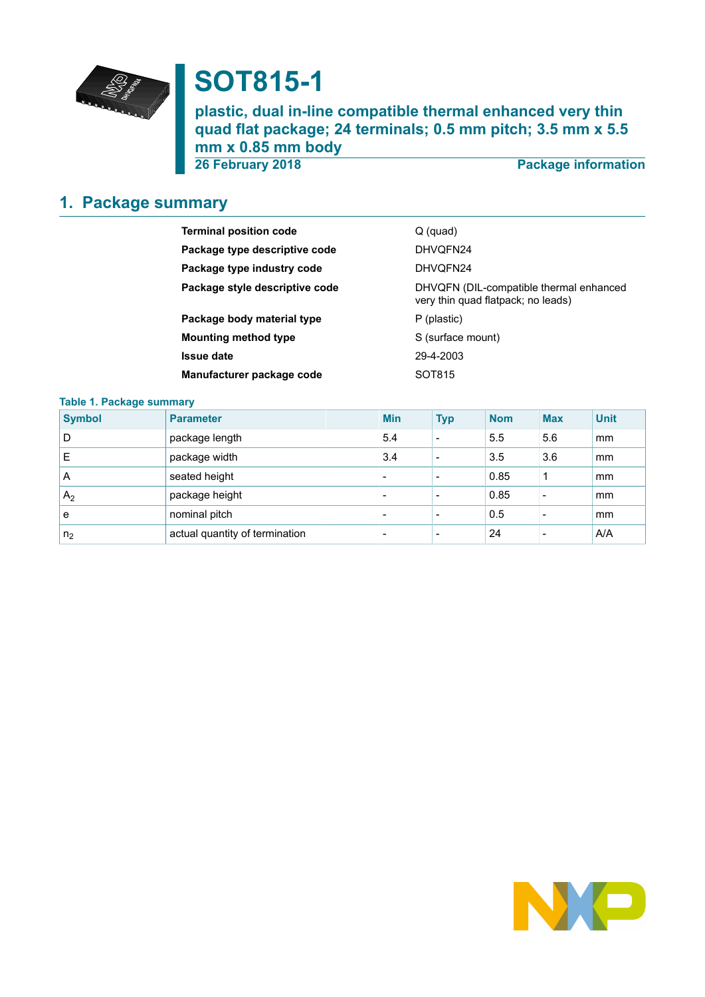

# **SOT815-1**

**plastic, dual in-line compatible thermal enhanced very thin quad flat package; 24 terminals; 0.5 mm pitch; 3.5 mm x 5.5 mm x 0.85 mm body**

**26 February 2018 Package information**

# <span id="page-0-0"></span>**1. Package summary**

| <b>Terminal position code</b>  | $Q$ (quad)                                                                    |
|--------------------------------|-------------------------------------------------------------------------------|
| Package type descriptive code  | DHVQFN24                                                                      |
| Package type industry code     | DHVQFN24                                                                      |
| Package style descriptive code | DHVQFN (DIL-compatible thermal enhanced<br>very thin quad flatpack; no leads) |
| Package body material type     | P (plastic)                                                                   |
| <b>Mounting method type</b>    | S (surface mount)                                                             |
| <b>Issue date</b>              | 29-4-2003                                                                     |
| Manufacturer package code      | SOT815                                                                        |
|                                |                                                                               |

#### **Table 1. Package summary**

| <b>Symbol</b>  | <b>Parameter</b>               | <b>Min</b>               | <b>Typ</b>               | <b>Nom</b> | <b>Max</b> | <b>Unit</b> |
|----------------|--------------------------------|--------------------------|--------------------------|------------|------------|-------------|
| D              | package length                 | 5.4                      | -                        | 5.5        | 5.6        | mm          |
| E              | package width                  | 3.4                      | $\overline{\phantom{0}}$ | 3.5        | 3.6        | mm          |
| A              | seated height                  | -                        |                          | 0.85       | 1          | mm          |
| A <sub>2</sub> | package height                 | $\overline{\phantom{0}}$ | $\overline{\phantom{0}}$ | 0.85       | -          | mm          |
| е              | nominal pitch                  | $\overline{\phantom{0}}$ |                          | 0.5        |            | mm          |
| n <sub>2</sub> | actual quantity of termination | -                        |                          | 24         |            | A/A         |

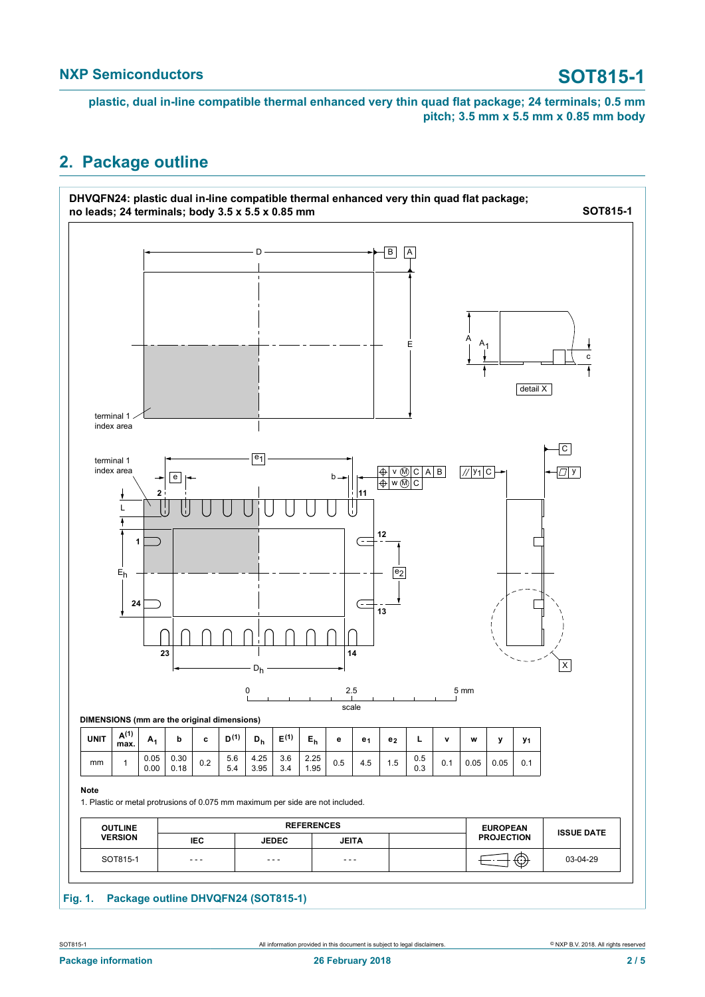**plastic, dual in-line compatible thermal enhanced very thin quad flat package; 24 terminals; 0.5 mm pitch; 3.5 mm x 5.5 mm x 0.85 mm body**

### <span id="page-1-0"></span>**2. Package outline**

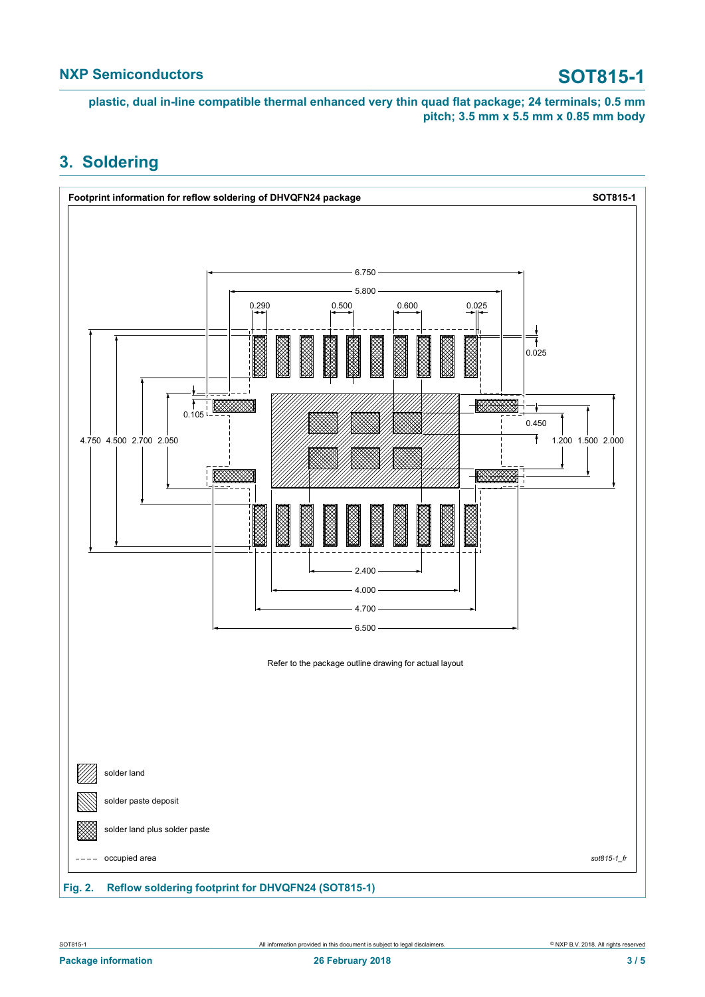**plastic, dual in-line compatible thermal enhanced very thin quad flat package; 24 terminals; 0.5 mm pitch; 3.5 mm x 5.5 mm x 0.85 mm body**

### <span id="page-2-0"></span>**3. Soldering**

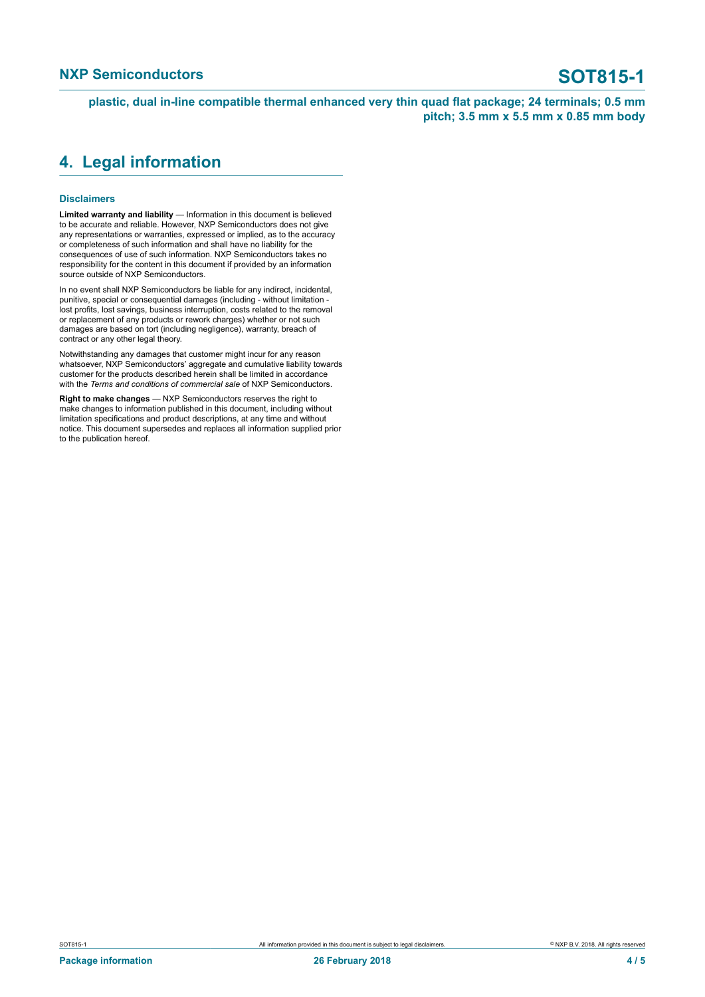**plastic, dual in-line compatible thermal enhanced very thin quad flat package; 24 terminals; 0.5 mm pitch; 3.5 mm x 5.5 mm x 0.85 mm body**

#### <span id="page-3-0"></span>**4. Legal information**

#### **Disclaimers**

**Limited warranty and liability** — Information in this document is believed to be accurate and reliable. However, NXP Semiconductors does not give any representations or warranties, expressed or implied, as to the accuracy or completeness of such information and shall have no liability for the consequences of use of such information. NXP Semiconductors takes no responsibility for the content in this document if provided by an information source outside of NXP Semiconductors.

In no event shall NXP Semiconductors be liable for any indirect, incidental, punitive, special or consequential damages (including - without limitation lost profits, lost savings, business interruption, costs related to the removal or replacement of any products or rework charges) whether or not such damages are based on tort (including negligence), warranty, breach of contract or any other legal theory.

Notwithstanding any damages that customer might incur for any reason whatsoever, NXP Semiconductors' aggregate and cumulative liability towards customer for the products described herein shall be limited in accordance with the *Terms and conditions of commercial sale* of NXP Semiconductors.

**Right to make changes** — NXP Semiconductors reserves the right to make changes to information published in this document, including without limitation specifications and product descriptions, at any time and without notice. This document supersedes and replaces all information supplied prior to the publication hereof.